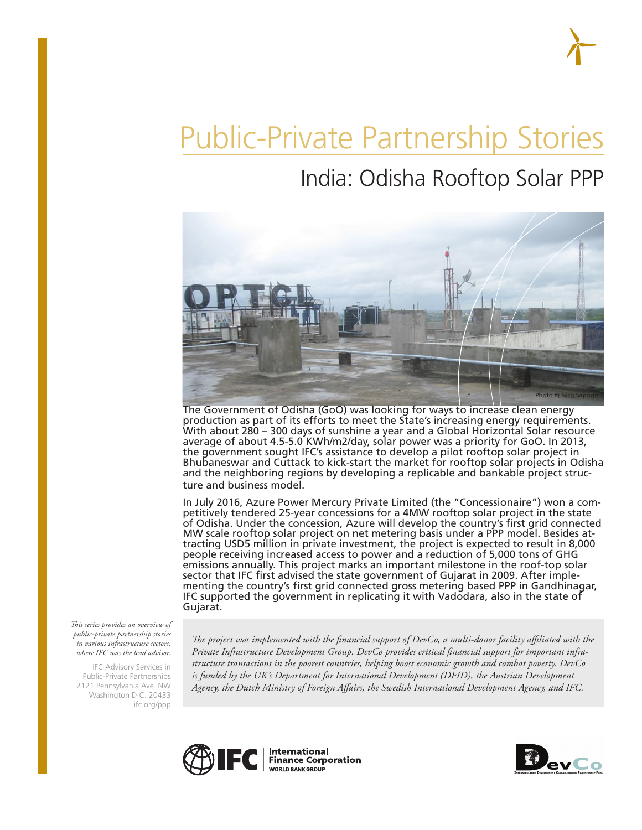# Public-Private Partnership Stories

# India: Odisha Rooftop Solar PPP



The Government of Odisha (GoO) was looking for ways to increase clean energy production as part of its efforts to meet the State's increasing energy requirements. With about 280 – 300 days of sunshine a year and a Global Horizontal Solar resource average of about 4.5-5.0 KWh/m2/day, solar power was a priority for GoO. In 2013, the government sought IFC's assistance to develop a pilot rooftop solar project in Bhubaneswar and Cuttack to kick-start the market for rooftop solar projects in Odisha and the neighboring regions by developing a replicable and bankable project structure and business model.

In July 2016, Azure Power Mercury Private Limited (the "Concessionaire") won a competitively tendered 25-year concessions for a 4MW rooftop solar project in the state of Odisha. Under the concession, Azure will develop the country's first grid connected MW scale rooftop solar project on net metering basis under a PPP model. Besides attracting USD5 million in private investment, the project is expected to result in 8,000 people receiving increased access to power and a reduction of 5,000 tons of GHG emissions annually. This project marks an important milestone in the roof-top solar sector that IFC first advised the state government of Gujarat in 2009. After implementing the country's first grid connected gross metering based PPP in Gandhinagar, IFC supported the government in replicating it with Vadodara, also in the state of Gujarat.

*This series provides an overview of public-private partnership stories in various infrastructure sectors, where IFC was the lead advisor.* 

IFC Advisory Services in Public-Private Partnerships 2121 Pennsylvania Ave. NW Washington D.C. 20433 ifc.org/ppp

*The project was implemented with the financial support of DevCo, a multi-donor facility affiliated with the Private Infrastructure Development Group. DevCo provides critical financial support for important infrastructure transactions in the poorest countries, helping boost economic growth and combat poverty. DevCo*  is funded by the UK's Department for International Development (DFID), the Austrian Development *Agency, the Dutch Ministry of Foreign Affairs, the Swedish International Development Agency, and IFC.*